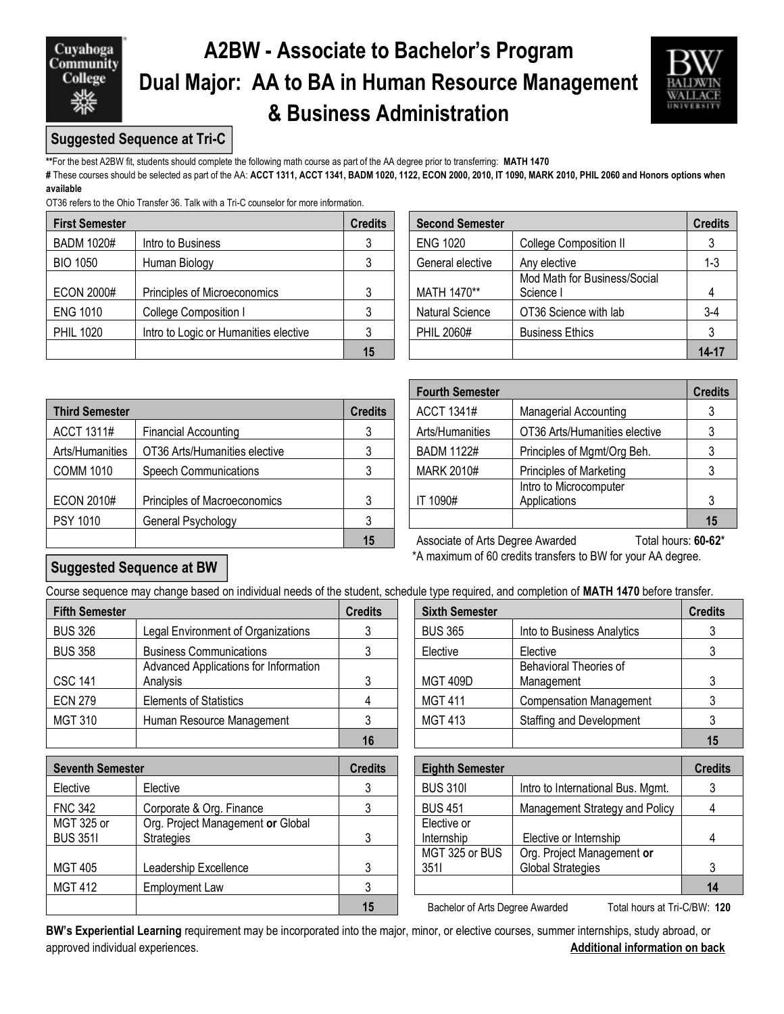Cuyahoga **Community** College

# **A2BW - Associate to Bachelor's Program Dual Major: AA to BA in Human Resource Management & Business Administration**



## **Suggested Sequence at Tri-C**

**\*\***For the best A2BW fit, students should complete the following math course as part of the AA degree prior to transferring: **MATH 1470**

**#** These courses should be selected as part of the AA: **ACCT 1311, ACCT 1341, BADM 1020, 1122, ECON 2000, 2010, IT 1090, MARK 2010, PHIL 2060 and Honors options when available** 

OT36 refers to the Ohio Transfer 36. Talk with a Tri-C counselor for more information.

| <b>First Semester</b> |                                       | <b>Credits</b> | <b>Second Semester</b> |                                           | <b>Credits</b> |  |
|-----------------------|---------------------------------------|----------------|------------------------|-------------------------------------------|----------------|--|
| <b>BADM 1020#</b>     | Intro to Business                     |                | <b>ENG 1020</b>        | <b>College Composition II</b>             |                |  |
| <b>BIO 1050</b>       | Human Biology                         |                | General elective       | Any elective                              | $1 - 3$        |  |
| <b>ECON 2000#</b>     | Principles of Microeconomics          |                | MATH 1470**            | Mod Math for Business/Social<br>Science I |                |  |
| <b>ENG 1010</b>       | College Composition I                 |                | <b>Natural Science</b> | OT36 Science with lab                     | $3-4$          |  |
| <b>PHIL 1020</b>      | Intro to Logic or Humanities elective |                | PHIL 2060#             | <b>Business Ethics</b>                    |                |  |
|                       |                                       | 15             |                        |                                           | $14 - 17$      |  |

| edits          | <b>Second Semester</b> |                                           | <b>Credits</b> |
|----------------|------------------------|-------------------------------------------|----------------|
| $\mathbf{3}$   | <b>ENG 1020</b>        | <b>College Composition II</b>             |                |
| $\mathbf{3}$   | General elective       | Any elective                              | $1 - 3$        |
| 3              | MATH 1470**            | Mod Math for Business/Social<br>Science I |                |
| $\mathbf{3}$   | Natural Science        | OT36 Science with lab                     | $3-4$          |
| $\mathfrak{3}$ | PHIL 2060#             | <b>Business Ethics</b>                    |                |
| 15             |                        |                                           | 14-17          |

|                       |                               |                | FUULUI JEIIIESLEI                |                                        | vitu |
|-----------------------|-------------------------------|----------------|----------------------------------|----------------------------------------|------|
| <b>Third Semester</b> |                               | <b>Credits</b> | ACCT 1341#                       | <b>Managerial Accounting</b>           | 3    |
| ACCT 1311#            | <b>Financial Accounting</b>   |                | Arts/Humanities                  | OT36 Arts/Humanities elective          | 3    |
| Arts/Humanities       | OT36 Arts/Humanities elective | J              | <b>BADM 1122#</b>                | Principles of Mgmt/Org Beh.            | 3    |
| <b>COMM 1010</b>      | <b>Speech Communications</b>  |                | <b>MARK 2010#</b>                | <b>Principles of Marketing</b>         | 3    |
| <b>ECON 2010#</b>     | Principles of Macroeconomics  | 3              | IT 1090#                         | Intro to Microcomputer<br>Applications | 3    |
| <b>PSY 1010</b>       | General Psychology            |                |                                  |                                        | 15   |
|                       |                               | 15             | Associate of Arts Degree Awarded | Total hours: <b>60-6</b>               |      |

| <b>Fourth Semester</b>                           | <b>Credits</b>                 |    |
|--------------------------------------------------|--------------------------------|----|
| <b>ACCT 1341#</b>                                | <b>Managerial Accounting</b>   | 3  |
| Arts/Humanities                                  | OT36 Arts/Humanities elective  |    |
| <b>BADM 1122#</b><br>Principles of Mgmt/Org Beh. |                                |    |
| <b>MARK 2010#</b>                                | <b>Principles of Marketing</b> |    |
|                                                  | Intro to Microcomputer         |    |
| IT 1090#                                         | Applications                   | 3  |
|                                                  |                                | 15 |

**15** Associate of Arts Degree Awarded Total hours: **60-62**\* \*A maximum of 60 credits transfers to BW for your AA degree.

## **Suggested Sequence at BW**

Course sequence may change based on individual needs of the student, schedule type required, and completion of **MATH 1470** before transfer.

| <b>Fifth Semester</b> |                                       | <b>Credits</b> | <b>Sixth Semester</b> |                                 | <b>Credits</b> |  |
|-----------------------|---------------------------------------|----------------|-----------------------|---------------------------------|----------------|--|
| <b>BUS 326</b>        | Legal Environment of Organizations    |                | <b>BUS 365</b>        | Into to Business Analytics      |                |  |
| <b>BUS 358</b>        | <b>Business Communications</b>        |                | Elective              | Elective                        |                |  |
|                       | Advanced Applications for Information |                |                       | <b>Behavioral Theories of</b>   |                |  |
| <b>CSC 141</b>        | Analysis                              | າ              | <b>MGT 409D</b>       | Management                      |                |  |
| <b>ECN 279</b>        | <b>Elements of Statistics</b>         |                | <b>MGT 411</b>        | <b>Compensation Management</b>  |                |  |
| MGT 310               | Human Resource Management             |                | MGT 413               | <b>Staffing and Development</b> |                |  |
|                       |                                       |                |                       |                                 | 15             |  |

| <b>Seventh Semester</b> |                                   | <b>Credits</b> | <b>Eighth Semester</b>          |                                   | <b>Credits</b> |  |
|-------------------------|-----------------------------------|----------------|---------------------------------|-----------------------------------|----------------|--|
| Elective                | Elective                          |                | <b>BUS 3101</b>                 | Intro to International Bus. Mgmt. |                |  |
| <b>FNC 342</b>          | Corporate & Org. Finance          |                | <b>BUS 451</b>                  | Management Strategy and Policy    |                |  |
| MGT 325 or              | Org. Project Management or Global |                | Elective or                     |                                   |                |  |
| <b>BUS 3511</b>         | <b>Strategies</b>                 |                | Internship                      | Elective or Internship            |                |  |
|                         |                                   |                | MGT 325 or BUS                  | Org. Project Management or        |                |  |
| <b>MGT 405</b>          | Leadership Excellence             |                | 3511                            | <b>Global Strategies</b>          |                |  |
| <b>MGT 412</b>          | <b>Employment Law</b>             |                |                                 |                                   | 14             |  |
|                         |                                   | 15             | Bachelor of Arts Degree Awarded | Total hours at Tri-C/BW: 120      |                |  |

| dits           | <b>Sixth Semester</b> |                                 | <b>Credits</b> |
|----------------|-----------------------|---------------------------------|----------------|
| 3              | <b>BUS 365</b>        | Into to Business Analytics      |                |
| 3              | Elective              | Elective                        |                |
|                |                       | <b>Behavioral Theories of</b>   |                |
| 3              | <b>MGT 409D</b>       | Management                      |                |
| $\overline{4}$ | <b>MGT 411</b>        | <b>Compensation Management</b>  |                |
| 3              | <b>MGT 413</b>        | <b>Staffing and Development</b> |                |
| 16             |                       |                                 |                |

| <b>Eighth Semester</b> |                                   | <b>Credits</b> |
|------------------------|-----------------------------------|----------------|
| <b>BUS 3101</b>        | Intro to International Bus. Mgmt. |                |
| <b>BUS 451</b>         | Management Strategy and Policy    |                |
| Elective or            |                                   |                |
| Internship             | Elective or Internship            |                |
| MGT 325 or BUS         | Org. Project Management or        |                |
| 3511                   | <b>Global Strategies</b>          | 3              |
|                        |                                   | 14             |

**BW's Experiential Learning** requirement may be incorporated into the major, minor, or elective courses, summer internships, study abroad, or approved individual experiences. **Additional information on back**